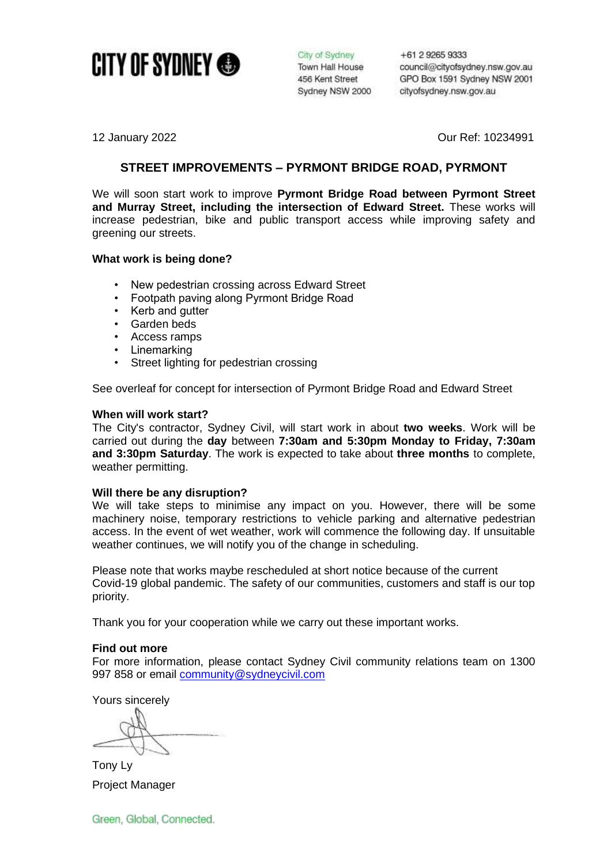

City of Sydney Town Hall House 456 Kent Street Sydney NSW 2000 +61 2 9265 9333 council@cityofsydney.nsw.gov.au GPO Box 1591 Sydney NSW 2001 cityofsydney.nsw.gov.au

12 January 2022 Our Ref: 10234991

# **STREET IMPROVEMENTS – PYRMONT BRIDGE ROAD, PYRMONT**

We will soon start work to improve **Pyrmont Bridge Road between Pyrmont Street and Murray Street, including the intersection of Edward Street.** These works will increase pedestrian, bike and public transport access while improving safety and greening our streets.

## **What work is being done?**

- New pedestrian crossing across Edward Street
- Footpath paving along Pyrmont Bridge Road
- Kerb and gutter
- Garden beds
- Access ramps
- **Linemarking**
- Street lighting for pedestrian crossing

See overleaf for concept for intersection of Pyrmont Bridge Road and Edward Street

### **When will work start?**

The City's contractor, Sydney Civil, will start work in about **two weeks**. Work will be carried out during the **day** between **7:30am and 5:30pm Monday to Friday, 7:30am and 3:30pm Saturday**. The work is expected to take about **three months** to complete, weather permitting.

### **Will there be any disruption?**

We will take steps to minimise any impact on you. However, there will be some machinery noise, temporary restrictions to vehicle parking and alternative pedestrian access. In the event of wet weather, work will commence the following day. If unsuitable weather continues, we will notify you of the change in scheduling.

Please note that works maybe rescheduled at short notice because of the current Covid-19 global pandemic. The safety of our communities, customers and staff is our top priority.

Thank you for your cooperation while we carry out these important works.

### **Find out more**

For more information, please contact Sydney Civil community relations team on 1300 997 858 or email [community@sydneycivil.com](mailto:community@sydneycivil.com)

Yours sincerely

Tony Ly Project Manager

Green, Global, Connected.